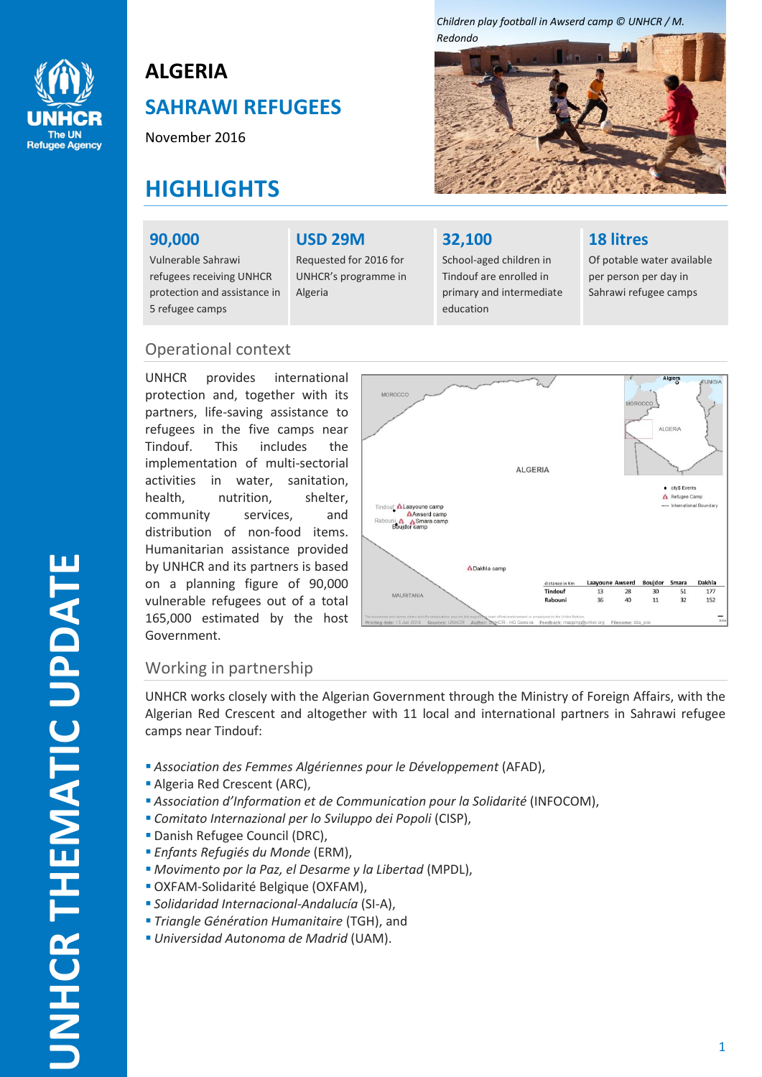

# **ALGERIA SAHRAWI REFUGEES**

November 2016

# **HIGHLIGHTS**

### **90,000**

## **USD 29M**

Vulnerable Sahrawi refugees receiving UNHCR protection and assistance in 5 refugee camps

Requested for 2016 for UNHCR's programme in Algeria



# **18 litres**

School-aged children in Tindouf are enrolled in primary and intermediate education

Of potable water available per person per day in Sahrawi refugee camps



## Operational context

UNHCR provides international protection and, together with its partners, life-saving assistance to refugees in the five camps near Tindouf. This includes the implementation of multi-sectorial activities in water, sanitation, health, nutrition, shelter, community services, and distribution of non-food items. Humanitarian assistance provided by UNHCR and its partners is based on a planning figure of 90,000 vulnerable refugees out of a total 165,000 estimated by the host Government.

# Working in partnership

UNHCR works closely with the Algerian Government through the Ministry of Foreign Affairs, with the Algerian Red Crescent and altogether with 11 local and international partners in Sahrawi refugee camps near Tindouf:

- *Association des Femmes Algériennes pour le Développement* (AFAD),
- Algeria Red Crescent (ARC),
- *Association d'Information et de Communication pour la Solidarité* (INFOCOM),
- *Comitato Internazional per lo Sviluppo dei Popoli* (CISP),
- Danish Refugee Council (DRC),
- *Enfants Refugiés du Monde* (ERM),
- *Movimento por la Paz, el Desarme y la Libertad* (MPDL),
- OXFAM-Solidarité Belgique (OXFAM),
- *Solidaridad Internacional-Andalucía* (SI-A),
- *Triangle Génération Humanitaire* (TGH), and
- *Universidad Autonoma de Madrid* (UAM).

*Children play football in Awserd camp © UNHCR / M. Redondo*